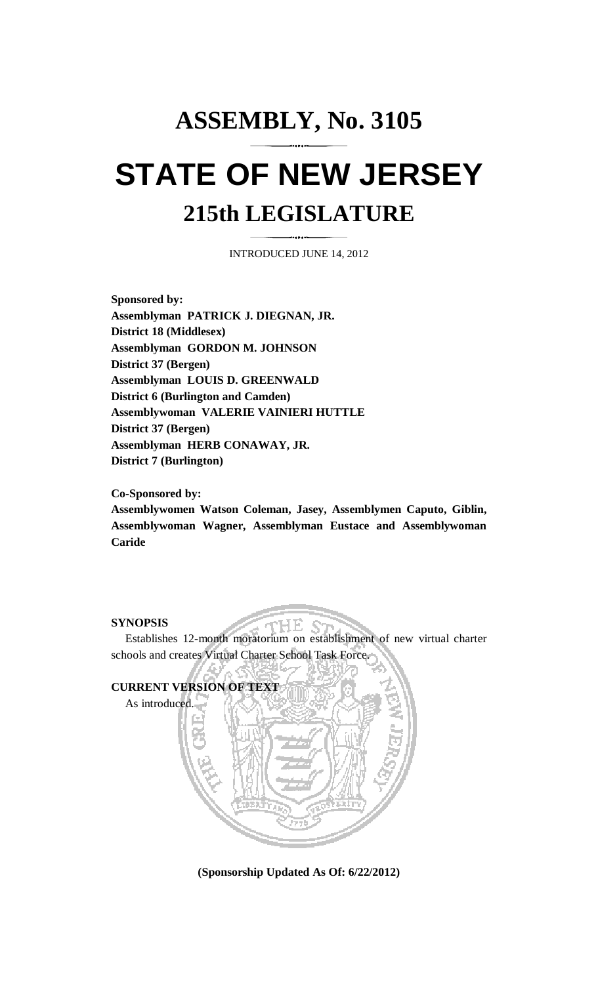## **ASSEMBLY, No. 3105 STATE OF NEW JERSEY 215th LEGISLATURE**

INTRODUCED JUNE 14, 2012

**Sponsored by: Assemblyman PATRICK J. DIEGNAN, JR. District 18 (Middlesex) Assemblyman GORDON M. JOHNSON District 37 (Bergen) Assemblyman LOUIS D. GREENWALD District 6 (Burlington and Camden) Assemblywoman VALERIE VAINIERI HUTTLE District 37 (Bergen) Assemblyman HERB CONAWAY, JR. District 7 (Burlington)** 

**Co-Sponsored by:** 

**Assemblywomen Watson Coleman, Jasey, Assemblymen Caputo, Giblin, Assemblywoman Wagner, Assemblyman Eustace and Assemblywoman Caride** 

## **SYNOPSIS**

 Establishes 12-month moratorium on establishment of new virtual charter schools and creates Virtual Charter School Task Force.

'HE



**(Sponsorship Updated As Of: 6/22/2012)**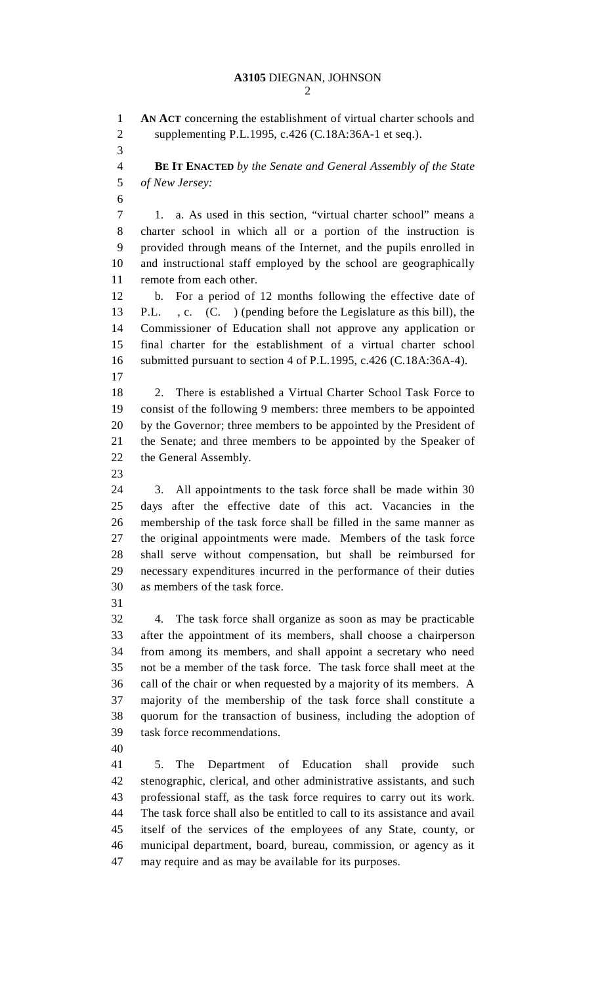1 **AN ACT** concerning the establishment of virtual charter schools and 2 supplementing P.L.1995, c.426 (C.18A:36A-1 et seq.). 3 4 **BE IT ENACTED** *by the Senate and General Assembly of the State*  5 *of New Jersey:* 6 7 1. a. As used in this section, "virtual charter school" means a 8 charter school in which all or a portion of the instruction is 9 provided through means of the Internet, and the pupils enrolled in 10 and instructional staff employed by the school are geographically 11 remote from each other. 12 b. For a period of 12 months following the effective date of 13 P.L. , c. (C. ) (pending before the Legislature as this bill), the 14 Commissioner of Education shall not approve any application or 15 final charter for the establishment of a virtual charter school 16 submitted pursuant to section 4 of P.L.1995, c.426 (C.18A:36A-4). 17 18 2. There is established a Virtual Charter School Task Force to 19 consist of the following 9 members: three members to be appointed 20 by the Governor; three members to be appointed by the President of 21 the Senate; and three members to be appointed by the Speaker of 22 the General Assembly. 23 24 3. All appointments to the task force shall be made within 30 25 days after the effective date of this act. Vacancies in the 26 membership of the task force shall be filled in the same manner as 27 the original appointments were made. Members of the task force 28 shall serve without compensation, but shall be reimbursed for 29 necessary expenditures incurred in the performance of their duties 30 as members of the task force. 31 32 4. The task force shall organize as soon as may be practicable 33 after the appointment of its members, shall choose a chairperson 34 from among its members, and shall appoint a secretary who need 35 not be a member of the task force. The task force shall meet at the 36 call of the chair or when requested by a majority of its members. A 37 majority of the membership of the task force shall constitute a 38 quorum for the transaction of business, including the adoption of 39 task force recommendations. 40 41 5. The Department of Education shall provide such 42 stenographic, clerical, and other administrative assistants, and such 43 professional staff, as the task force requires to carry out its work. 44 The task force shall also be entitled to call to its assistance and avail 45 itself of the services of the employees of any State, county, or 46 municipal department, board, bureau, commission, or agency as it 47 may require and as may be available for its purposes.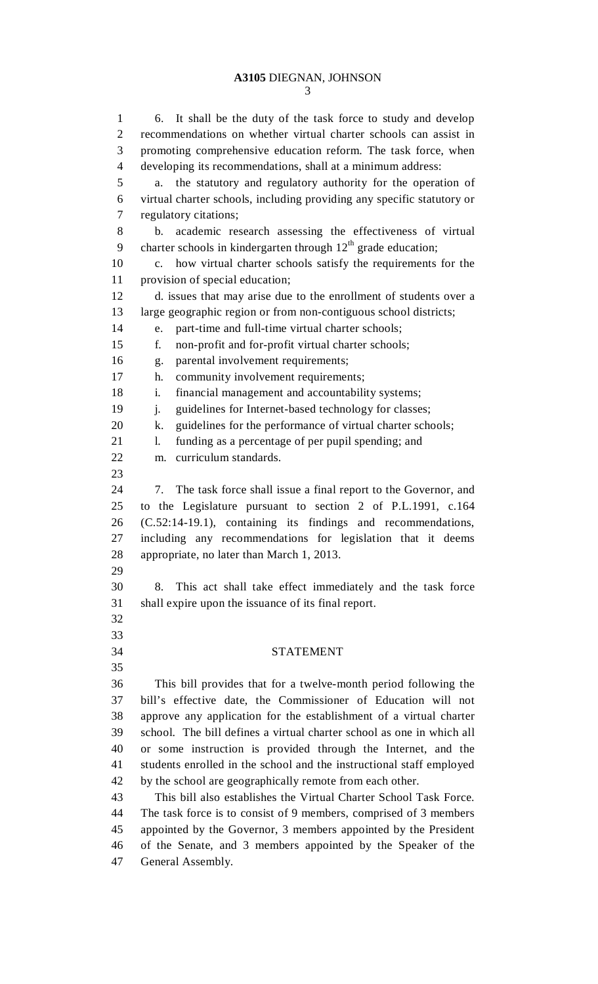## **A3105** DIEGNAN, JOHNSON

1 6. It shall be the duty of the task force to study and develop 2 recommendations on whether virtual charter schools can assist in 3 promoting comprehensive education reform. The task force, when 4 developing its recommendations, shall at a minimum address: 5 a. the statutory and regulatory authority for the operation of 6 virtual charter schools, including providing any specific statutory or 7 regulatory citations; 8 b. academic research assessing the effectiveness of virtual 9 charter schools in kindergarten through  $12<sup>th</sup>$  grade education; 10 c. how virtual charter schools satisfy the requirements for the 11 provision of special education; 12 d. issues that may arise due to the enrollment of students over a 13 large geographic region or from non-contiguous school districts; 14 e. part-time and full-time virtual charter schools; 15 f. non-profit and for-profit virtual charter schools; 16 g. parental involvement requirements; 17 h. community involvement requirements; 18 i. financial management and accountability systems; 19 j. guidelines for Internet-based technology for classes; 20 k. guidelines for the performance of virtual charter schools; 21 l. funding as a percentage of per pupil spending; and 22 m. curriculum standards. 23 24 7. The task force shall issue a final report to the Governor, and 25 to the Legislature pursuant to section 2 of P.L.1991, c.164 26 (C.52:14-19.1), containing its findings and recommendations, 27 including any recommendations for legislation that it deems 28 appropriate, no later than March 1, 2013. 29 30 8. This act shall take effect immediately and the task force 31 shall expire upon the issuance of its final report. 32 33 34 STATEMENT 35 36 This bill provides that for a twelve-month period following the 37 bill's effective date, the Commissioner of Education will not 38 approve any application for the establishment of a virtual charter 39 school. The bill defines a virtual charter school as one in which all 40 or some instruction is provided through the Internet, and the 41 students enrolled in the school and the instructional staff employed 42 by the school are geographically remote from each other. 43 This bill also establishes the Virtual Charter School Task Force. 44 The task force is to consist of 9 members, comprised of 3 members 45 appointed by the Governor, 3 members appointed by the President 46 of the Senate, and 3 members appointed by the Speaker of the 47 General Assembly.